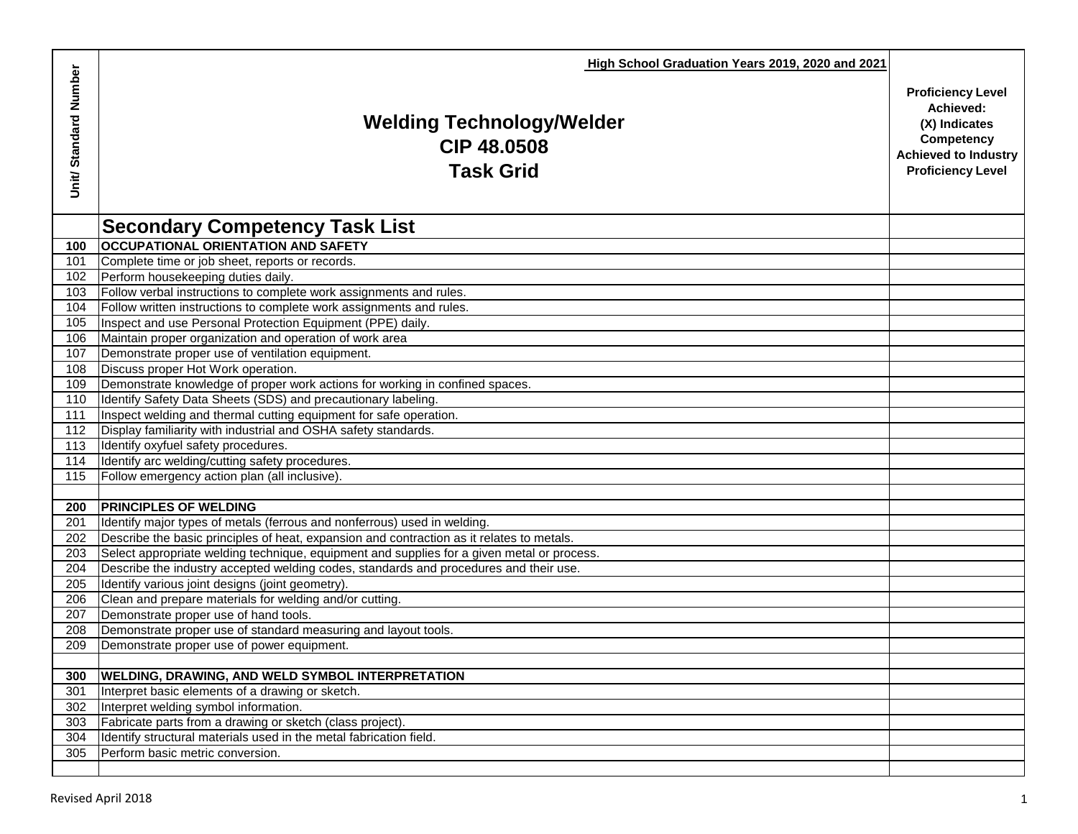|                       | High School Graduation Years 2019, 2020 and 2021                                                            |                                                                                                                                 |
|-----------------------|-------------------------------------------------------------------------------------------------------------|---------------------------------------------------------------------------------------------------------------------------------|
| Unit/ Standard Number | <b>Welding Technology/Welder</b><br>CIP 48.0508<br><b>Task Grid</b>                                         | <b>Proficiency Level</b><br>Achieved:<br>(X) Indicates<br>Competency<br><b>Achieved to Industry</b><br><b>Proficiency Level</b> |
|                       | <b>Secondary Competency Task List</b>                                                                       |                                                                                                                                 |
| 100                   | <b>OCCUPATIONAL ORIENTATION AND SAFETY</b>                                                                  |                                                                                                                                 |
| 101                   | Complete time or job sheet, reports or records.                                                             |                                                                                                                                 |
| 102                   | Perform housekeeping duties daily.                                                                          |                                                                                                                                 |
| 103                   | Follow verbal instructions to complete work assignments and rules.                                          |                                                                                                                                 |
| 104                   | Follow written instructions to complete work assignments and rules.                                         |                                                                                                                                 |
| 105                   | Inspect and use Personal Protection Equipment (PPE) daily.                                                  |                                                                                                                                 |
| 106                   | Maintain proper organization and operation of work area                                                     |                                                                                                                                 |
| 107                   | Demonstrate proper use of ventilation equipment.                                                            |                                                                                                                                 |
| 108                   | Discuss proper Hot Work operation.                                                                          |                                                                                                                                 |
| 109                   | Demonstrate knowledge of proper work actions for working in confined spaces.                                |                                                                                                                                 |
| 110                   | Identify Safety Data Sheets (SDS) and precautionary labeling.                                               |                                                                                                                                 |
| 111                   | Inspect welding and thermal cutting equipment for safe operation.                                           |                                                                                                                                 |
| 112                   | Display familiarity with industrial and OSHA safety standards.                                              |                                                                                                                                 |
| 113                   | Identify oxyfuel safety procedures.                                                                         |                                                                                                                                 |
| 114                   | Identify arc welding/cutting safety procedures.                                                             |                                                                                                                                 |
| 115                   | Follow emergency action plan (all inclusive).                                                               |                                                                                                                                 |
|                       |                                                                                                             |                                                                                                                                 |
| 200                   | <b>PRINCIPLES OF WELDING</b>                                                                                |                                                                                                                                 |
| 201                   | Identify major types of metals (ferrous and nonferrous) used in welding.                                    |                                                                                                                                 |
| 202                   | Describe the basic principles of heat, expansion and contraction as it relates to metals.                   |                                                                                                                                 |
| 203                   | Select appropriate welding technique, equipment and supplies for a given metal or process.                  |                                                                                                                                 |
| 204                   | Describe the industry accepted welding codes, standards and procedures and their use.                       |                                                                                                                                 |
| 205                   | Identify various joint designs (joint geometry).                                                            |                                                                                                                                 |
| 206                   | Clean and prepare materials for welding and/or cutting.                                                     |                                                                                                                                 |
| 207                   | Demonstrate proper use of hand tools.                                                                       |                                                                                                                                 |
| 208                   | Demonstrate proper use of standard measuring and layout tools.                                              |                                                                                                                                 |
| 209                   | Demonstrate proper use of power equipment.                                                                  |                                                                                                                                 |
|                       |                                                                                                             |                                                                                                                                 |
| 300<br>301            | <b>WELDING, DRAWING, AND WELD SYMBOL INTERPRETATION</b><br>Interpret basic elements of a drawing or sketch. |                                                                                                                                 |
| 302                   | Interpret welding symbol information.                                                                       |                                                                                                                                 |
| 303                   | Fabricate parts from a drawing or sketch (class project).                                                   |                                                                                                                                 |
| 304                   | Identify structural materials used in the metal fabrication field.                                          |                                                                                                                                 |
| 305                   | Perform basic metric conversion.                                                                            |                                                                                                                                 |
|                       |                                                                                                             |                                                                                                                                 |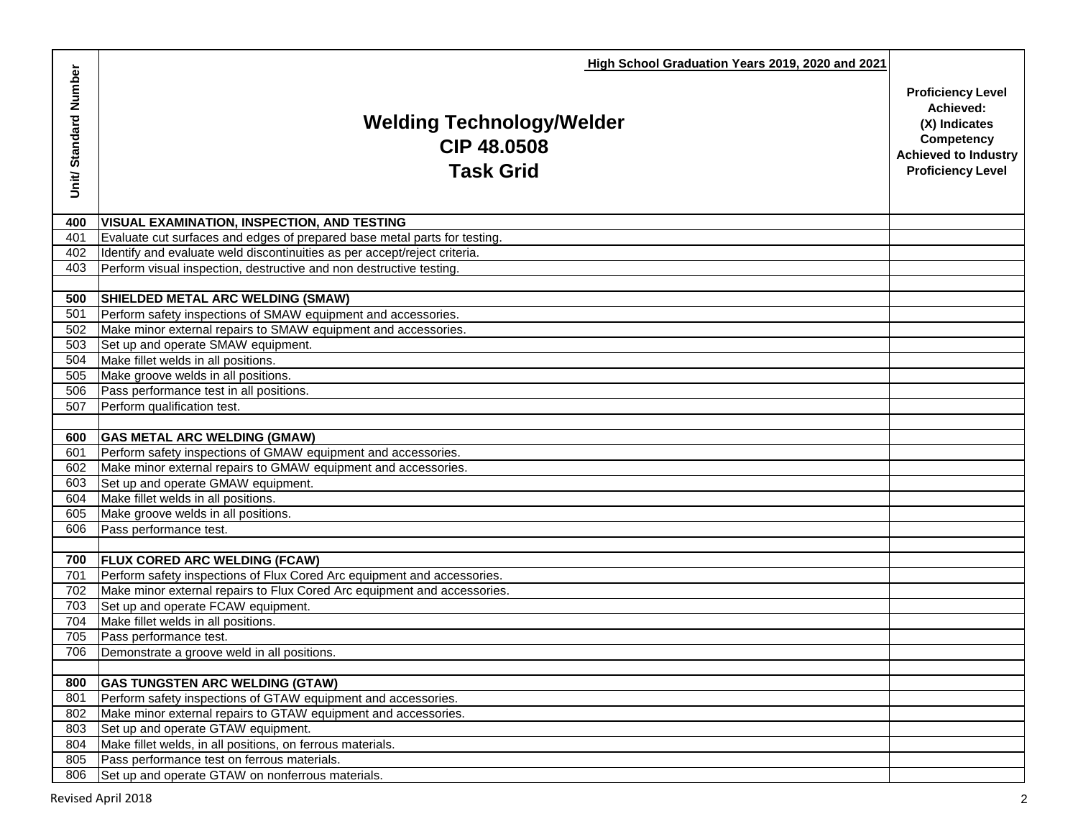|                      | High School Graduation Years 2019, 2020 and 2021                           |                                                                                                                                 |
|----------------------|----------------------------------------------------------------------------|---------------------------------------------------------------------------------------------------------------------------------|
| Unit/Standard Number | <b>Welding Technology/Welder</b><br><b>CIP 48.0508</b><br><b>Task Grid</b> | <b>Proficiency Level</b><br>Achieved:<br>(X) Indicates<br>Competency<br><b>Achieved to Industry</b><br><b>Proficiency Level</b> |
| 400                  | <b>VISUAL EXAMINATION, INSPECTION, AND TESTING</b>                         |                                                                                                                                 |
| 401                  | Evaluate cut surfaces and edges of prepared base metal parts for testing.  |                                                                                                                                 |
| 402                  | Identify and evaluate weld discontinuities as per accept/reject criteria.  |                                                                                                                                 |
| 403                  | Perform visual inspection, destructive and non destructive testing.        |                                                                                                                                 |
|                      |                                                                            |                                                                                                                                 |
| 500                  | SHIELDED METAL ARC WELDING (SMAW)                                          |                                                                                                                                 |
| 501                  | Perform safety inspections of SMAW equipment and accessories.              |                                                                                                                                 |
| 502                  | Make minor external repairs to SMAW equipment and accessories.             |                                                                                                                                 |
| 503                  | Set up and operate SMAW equipment.                                         |                                                                                                                                 |
| 504                  | Make fillet welds in all positions.                                        |                                                                                                                                 |
| 505                  | Make groove welds in all positions.                                        |                                                                                                                                 |
| 506<br>507           | Pass performance test in all positions.<br>Perform qualification test.     |                                                                                                                                 |
|                      |                                                                            |                                                                                                                                 |
| 600                  | <b>GAS METAL ARC WELDING (GMAW)</b>                                        |                                                                                                                                 |
| 601                  | Perform safety inspections of GMAW equipment and accessories.              |                                                                                                                                 |
| 602                  | Make minor external repairs to GMAW equipment and accessories.             |                                                                                                                                 |
| 603                  | Set up and operate GMAW equipment.                                         |                                                                                                                                 |
| 604                  | Make fillet welds in all positions.                                        |                                                                                                                                 |
| 605                  | Make groove welds in all positions.                                        |                                                                                                                                 |
| 606                  | Pass performance test.                                                     |                                                                                                                                 |
|                      |                                                                            |                                                                                                                                 |
| 700                  | <b>FLUX CORED ARC WELDING (FCAW)</b>                                       |                                                                                                                                 |
| 701                  | Perform safety inspections of Flux Cored Arc equipment and accessories.    |                                                                                                                                 |
| 702                  | Make minor external repairs to Flux Cored Arc equipment and accessories.   |                                                                                                                                 |
| 703                  | Set up and operate FCAW equipment.                                         |                                                                                                                                 |
| 704                  | Make fillet welds in all positions.                                        |                                                                                                                                 |
| 705                  | Pass performance test.                                                     |                                                                                                                                 |
| 706                  | Demonstrate a groove weld in all positions.                                |                                                                                                                                 |
|                      |                                                                            |                                                                                                                                 |
| 800                  | <b>GAS TUNGSTEN ARC WELDING (GTAW)</b>                                     |                                                                                                                                 |
| 801                  | Perform safety inspections of GTAW equipment and accessories.              |                                                                                                                                 |
| 802                  | Make minor external repairs to GTAW equipment and accessories.             |                                                                                                                                 |
| 803                  | Set up and operate GTAW equipment.                                         |                                                                                                                                 |
| 804                  | Make fillet welds, in all positions, on ferrous materials.                 |                                                                                                                                 |
| 805                  | Pass performance test on ferrous materials.                                |                                                                                                                                 |
| 806                  | Set up and operate GTAW on nonferrous materials.                           |                                                                                                                                 |